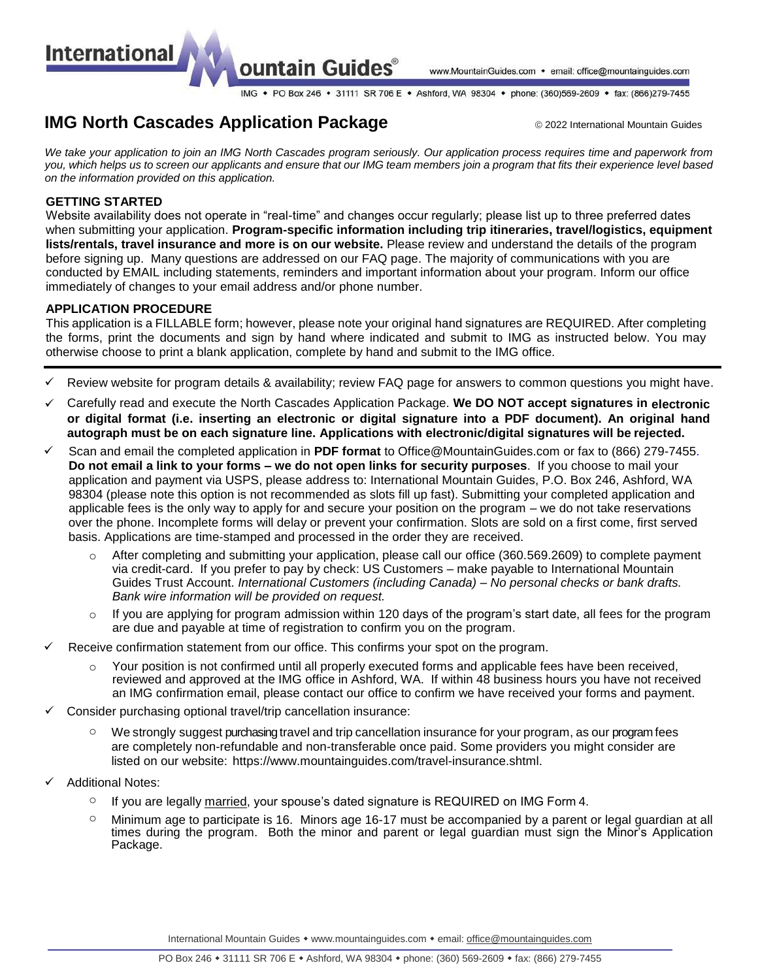ountain Guides®

www.MountainGuides.com • email: office@mountainguides.com

IMG • PO Box 246 • 31111 SR 706 E • Ashford, WA 98304 • phone: (360)569-2609 • fax: (866)279-7455

# **IMG North Cascades Application Package 1988** 2022 International Mountain Guides

*We take your application to join an IMG North Cascades program seriously. Our application process requires time and paperwork from you, which helps us to screen our applicants and ensure that our IMG team members join a program that fits their experience level based on the information provided on this application.* 

### **GETTING STARTED**

**International** 

Website availability does not operate in "real-time" and changes occur regularly; please list up to three preferred dates when submitting your application. **Program-specific information including trip itineraries, travel/logistics, equipment lists/rentals, travel insurance and more is on our website.** Please review and understand the details of the program before signing up. Many questions are addressed on our FAQ page. The majority of communications with you are conducted by EMAIL including statements, reminders and important information about your program. Inform our office immediately of changes to your email address and/or phone number.

## **APPLICATION PROCEDURE**

This application is a FILLABLE form; however, please note your original hand signatures are REQUIRED. After completing the forms, print the documents and sign by hand where indicated and submit to IMG as instructed below. You may otherwise choose to print a blank application, complete by hand and submit to the IMG office.

- Review website for program details & availability; review FAQ page for answers to common questions you might have.
- Carefully read and execute the North Cascades Application Package. **We DO NOT accept signatures in electronic or digital format (i.e. inserting an electronic or digital signature into a PDF document). An original hand autograph must be on each signature line. Applications with electronic/digital signatures will be rejected.**
- Scan and email the completed application in **PDF format** to [Office@MountainGuides.com o](mailto:Office@MountainGuides.com)r fax to (866) 279-7455. **Do not email a link to your forms – we do not open links for security purposes**. If you choose to mail your application and payment via USPS, please address to: International Mountain Guides, P.O. Box 246, Ashford, WA 98304 (please note this option is not recommended as slots fill up fast). Submitting your completed application and applicable fees is the only way to apply for and secure your position on the program – we do not take reservations over the phone. Incomplete forms will delay or prevent your confirmation. Slots are sold on a first come, first served basis. Applications are time-stamped and processed in the order they are received.
	- $\circ$  After completing and submitting your application, please call our office (360.569.2609) to complete payment via credit-card. If you prefer to pay by check: US Customers – make payable to International Mountain Guides Trust Account. *International Customers (including Canada) – No personal checks or bank drafts. Bank wire information will be provided on request.*
	- $\circ$  If you are applying for program admission within 120 days of the program's start date, all fees for the program are due and payable at time of registration to confirm you on the program.
- Receive confirmation statement from our office. This confirms your spot on the program.
	- Your position is not confirmed until all properly executed forms and applicable fees have been received, reviewed and approved at the IMG office in Ashford, WA. If within 48 business hours you have not received an IMG confirmation email, please contact our office to confirm we have received your forms and payment.
- Consider purchasing optional travel/trip cancellation insurance:
	- $\circ$  We strongly suggest purchasing travel and trip cancellation insurance for your program, as our program fees are completely non-refundable and non-transferable once paid. Some providers you might consider are listed on our website: http[s://www.mountainguides.](http://www.mountainguides.com/travel-insurance.shtml)c[om/travel-insurance.shtml.](http://www.mountainguides.com/travel-insurance.shtml)
- Additional Notes:
	- $\circ$  If you are legally married, your spouse's dated signature is REQUIRED on IMG Form 4.
	- $\circ$  Minimum age to participate is 16. Minors age 16-17 must be accompanied by a parent or legal guardian at all times during the program. Both the minor and parent or legal guardian must sign the Minor's Application Package.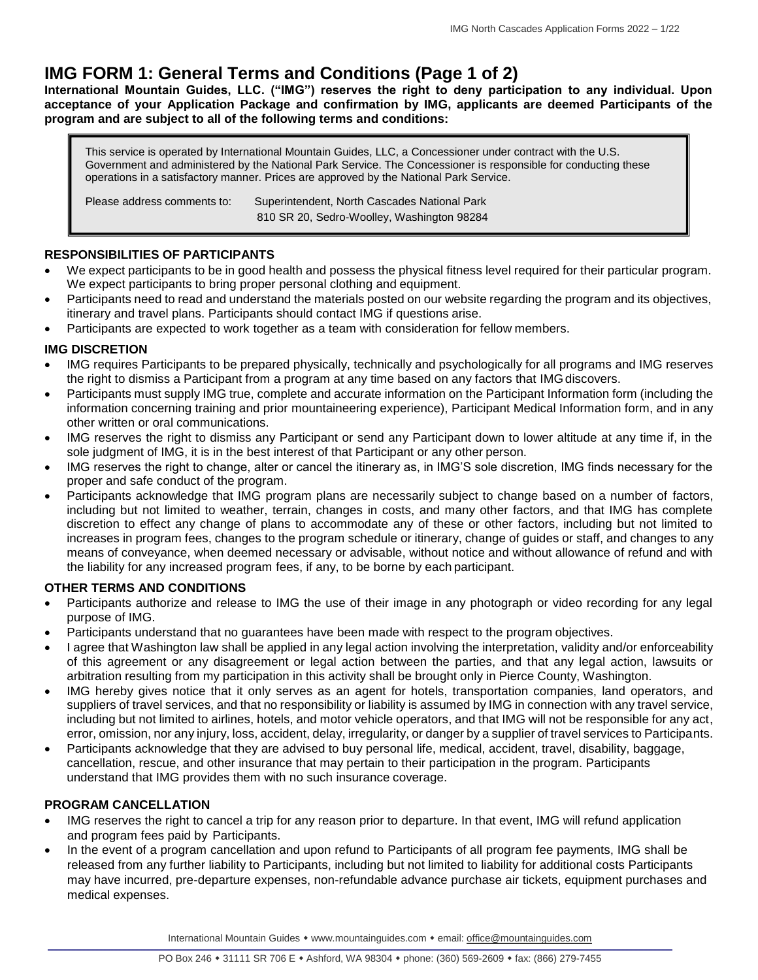# **IMG FORM 1: General Terms and Conditions (Page 1 of 2)**

**International Mountain Guides, LLC. ("IMG") reserves the right to deny participation to any individual. Upon acceptance of your Application Package and confirmation by IMG, applicants are deemed Participants of the program and are subject to all of the following terms and conditions:** 

This service is operated by International Mountain Guides, LLC, a Concessioner under contract with the U.S. Government and administered by the National Park Service. The Concessioner is responsible for conducting these operations in a satisfactory manner. Prices are approved by the National Park Service.

Please address comments to: Superintendent, North Cascades National Park 810 SR 20, Sedro-Woolley, Washington 98284

## **RESPONSIBILITIES OF PARTICIPANTS**

- We expect participants to be in good health and possess the physical fitness level required for their particular program. We expect participants to bring proper personal clothing and equipment.
- Participants need to read and understand the materials posted on our website regarding the program and its objectives, itinerary and travel plans. Participants should contact IMG if questions arise.
- Participants are expected to work together as a team with consideration for fellow members.

## **IMG DISCRETION**

- IMG requires Participants to be prepared physically, technically and psychologically for all programs and IMG reserves the right to dismiss a Participant from a program at any time based on any factors that IMG discovers.
- Participants must supply IMG true, complete and accurate information on the Participant Information form (including the information concerning training and prior mountaineering experience), Participant Medical Information form, and in any other written or oral communications.
- IMG reserves the right to dismiss any Participant or send any Participant down to lower altitude at any time if, in the sole judgment of IMG, it is in the best interest of that Participant or any other person.
- IMG reserves the right to change, alter or cancel the itinerary as, in IMG'S sole discretion, IMG finds necessary for the proper and safe conduct of the program.
- Participants acknowledge that IMG program plans are necessarily subject to change based on a number of factors, including but not limited to weather, terrain, changes in costs, and many other factors, and that IMG has complete discretion to effect any change of plans to accommodate any of these or other factors, including but not limited to increases in program fees, changes to the program schedule or itinerary, change of guides or staff, and changes to any means of conveyance, when deemed necessary or advisable, without notice and without allowance of refund and with the liability for any increased program fees, if any, to be borne by each participant.

# **OTHER TERMS AND CONDITIONS**

- Participants authorize and release to IMG the use of their image in any photograph or video recording for any legal purpose of IMG.
- Participants understand that no guarantees have been made with respect to the program objectives.
- I agree that Washington law shall be applied in any legal action involving the interpretation, validity and/or enforceability of this agreement or any disagreement or legal action between the parties, and that any legal action, lawsuits or arbitration resulting from my participation in this activity shall be brought only in Pierce County, Washington.
- IMG hereby gives notice that it only serves as an agent for hotels, transportation companies, land operators, and suppliers of travel services, and that no responsibility or liability is assumed by IMG in connection with any travel service, including but not limited to airlines, hotels, and motor vehicle operators, and that IMG will not be responsible for any act, error, omission, nor any injury, loss, accident, delay, irregularity, or danger by a supplier of travel services to Participants.
- Participants acknowledge that they are advised to buy personal life, medical, accident, travel, disability, baggage, cancellation, rescue, and other insurance that may pertain to their participation in the program. Participants understand that IMG provides them with no such insurance coverage.

# **PROGRAM CANCELLATION**

- IMG reserves the right to cancel a trip for any reason prior to departure. In that event, IMG will refund application and program fees paid by Participants.
- In the event of a program cancellation and upon refund to Participants of all program fee payments, IMG shall be released from any further liability to Participants, including but not limited to liability for additional costs Participants may have incurred, pre-departure expenses, non-refundable advance purchase air tickets, equipment purchases and medical expenses.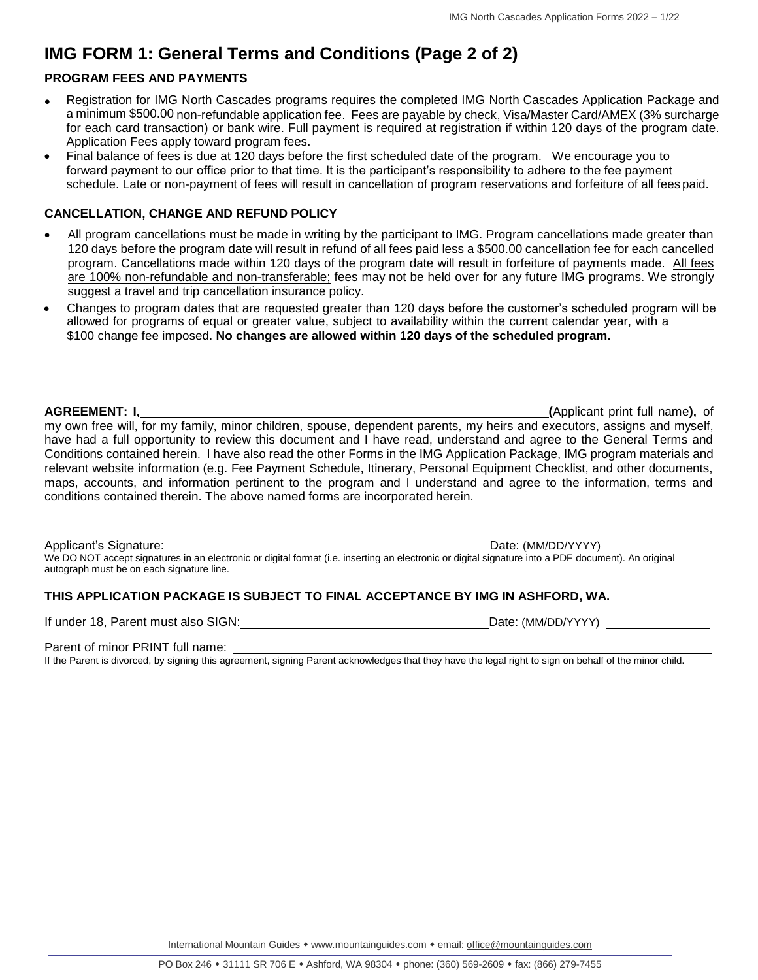# **IMG FORM 1: General Terms and Conditions (Page 2 of 2)**

# **PROGRAM FEES AND PAYMENTS**

- Registration for IMG North Cascades programs requires the completed IMG North Cascades Application Package and a minimum \$500.00 non-refundable application fee. Fees are payable by check, Visa/Master Card/AMEX (3% surcharge for each card transaction) or bank wire. Full payment is required at registration if within 120 days of the program date. Application Fees apply toward program fees.
- Final balance of fees is due at 120 days before the first scheduled date of the program. We encourage you to forward payment to our office prior to that time. It is the participant's responsibility to adhere to the fee payment schedule. Late or non-payment of fees will result in cancellation of program reservations and forfeiture of all fees paid.

### **CANCELLATION, CHANGE AND REFUND POLICY**

- All program cancellations must be made in writing by the participant to IMG. Program cancellations made greater than 120 days before the program date will result in refund of all fees paid less a \$500.00 cancellation fee for each cancelled program. Cancellations made within 120 days of the program date will result in forfeiture of payments made. All fees are 100% non-refundable and non-transferable; fees may not be held over for any future IMG programs. We strongly suggest a travel and trip cancellation insurance policy.
- Changes to program dates that are requested greater than 120 days before the customer's scheduled program will be allowed for programs of equal or greater value, subject to availability within the current calendar year, with a \$100 change fee imposed. **No changes are allowed within 120 days of the scheduled program.**

**AGREEMENT: I, (**Applicant print full name**),** of my own free will, for my family, minor children, spouse, dependent parents, my heirs and executors, assigns and myself, have had a full opportunity to review this document and I have read, understand and agree to the General Terms and Conditions contained herein. I have also read the other Forms in the IMG Application Package, IMG program materials and relevant website information (e.g. Fee Payment Schedule, Itinerary, Personal Equipment Checklist, and other documents, maps, accounts, and information pertinent to the program and I understand and agree to the information, terms and conditions contained therein. The above named forms are incorporated herein.

Applicant's Signature: <u>Date: (MM/DD/YYYY)</u> We DO NOT accept signatures in an electronic or digital format (i.e. inserting an electronic or digital signature into a PDF document). An original autograph must be on each signature line.

## **THIS APPLICATION PACKAGE IS SUBJECT TO FINAL ACCEPTANCE BY IMG IN ASHFORD, WA.**

If under 18, Parent must also SIGN: Date: (MM/DD/YYYY)

Parent of minor PRINT full name:

If the Parent is divorced, by signing this agreement, signing Parent acknowledges that they have the legal right to sign on behalf of the minor child.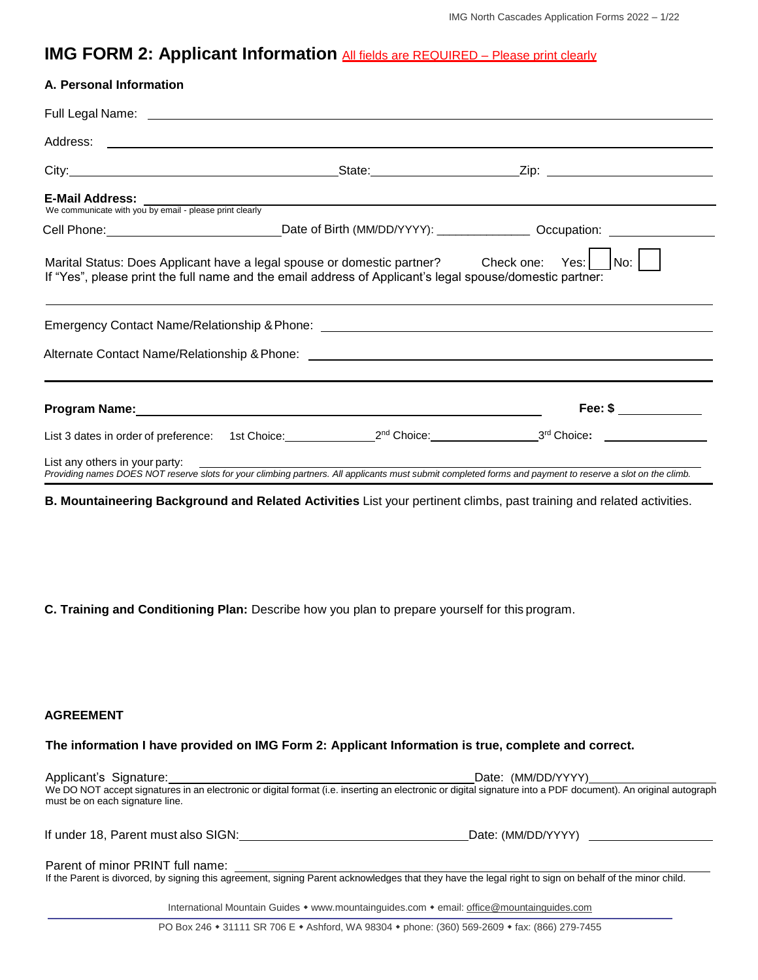# **IMG FORM 2: Applicant Information All fields are REQUIRED – Please print clearly**

| A. Personal Information        |                                                                                                                                                                                                                |                                                                                                                                                           |
|--------------------------------|----------------------------------------------------------------------------------------------------------------------------------------------------------------------------------------------------------------|-----------------------------------------------------------------------------------------------------------------------------------------------------------|
|                                |                                                                                                                                                                                                                |                                                                                                                                                           |
|                                |                                                                                                                                                                                                                |                                                                                                                                                           |
|                                |                                                                                                                                                                                                                |                                                                                                                                                           |
|                                | <b>E-Mail Address:</b><br>We communicate with you by email - please print clearly                                                                                                                              |                                                                                                                                                           |
|                                |                                                                                                                                                                                                                | Cell Phone: __________________________________Date of Birth (MM/DD/YYYY): __________________Occupation: _______________________________                   |
|                                | Marital Status: Does Applicant have a legal spouse or domestic partner? Check one: Yes:    No:    <br>If "Yes", please print the full name and the email address of Applicant's legal spouse/domestic partner: |                                                                                                                                                           |
|                                |                                                                                                                                                                                                                |                                                                                                                                                           |
|                                |                                                                                                                                                                                                                |                                                                                                                                                           |
|                                |                                                                                                                                                                                                                |                                                                                                                                                           |
|                                |                                                                                                                                                                                                                | Fee: $\$\$                                                                                                                                                |
|                                |                                                                                                                                                                                                                |                                                                                                                                                           |
| List any others in your party: |                                                                                                                                                                                                                | Providing names DOES NOT reserve slots for your climbing partners. All applicants must submit completed forms and payment to reserve a slot on the climb. |

**B. Mountaineering Background and Related Activities** List your pertinent climbs, past training and related activities.

**C. Training and Conditioning Plan:** Describe how you plan to prepare yourself for this program.

### **AGREEMENT**

#### **The information I have provided on IMG Form 2: Applicant Information is true, complete and correct.**

| Applicant's Signature:              | Date: (MM/DD/YYYY)                                                                                                                                            |
|-------------------------------------|---------------------------------------------------------------------------------------------------------------------------------------------------------------|
| must be on each signature line.     | We DO NOT accept signatures in an electronic or digital format (i.e. inserting an electronic or digital signature into a PDF document). An original autograph |
|                                     |                                                                                                                                                               |
| If under 18, Parent must also SIGN: | Date: (MM/DD/YYYY)                                                                                                                                            |

#### Parent of minor PRINT full name:

If the Parent is divorced, by signing this agreement, signing Parent acknowledges that they have the legal right to sign on behalf of the minor child.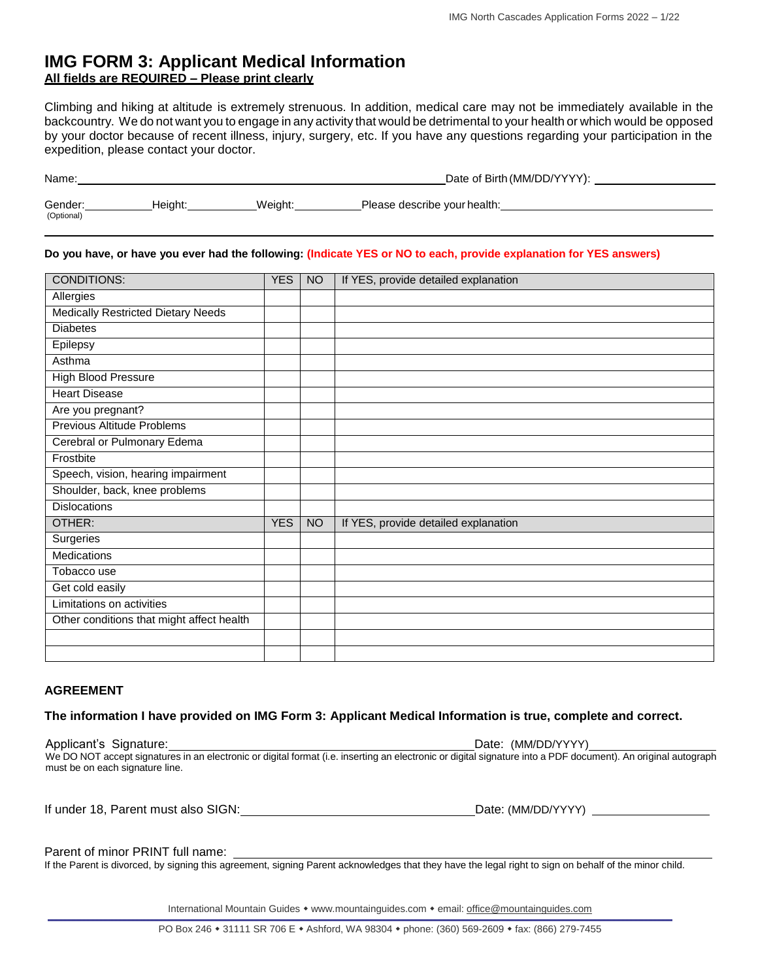# **IMG FORM 3: Applicant Medical Information All fields are REQUIRED – Please print clearly**

Climbing and hiking at altitude is extremely strenuous. In addition, medical care may not be immediately available in the backcountry. We do not want you to engage in any activity that would be detrimental to your health or which would be opposed by your doctor because of recent illness, injury, surgery, etc. If you have any questions regarding your participation in the expedition, please contact your doctor.

| Name:                 | Date of Birth (MM/DD/YYYY): |         |                              |  |
|-----------------------|-----------------------------|---------|------------------------------|--|
| Gender:<br>(Optional) | Heiaht:                     | Weiaht: | Please describe your health: |  |

#### **Do you have, or have you ever had the following: (Indicate YES or NO to each, provide explanation for YES answers)**

| <b>CONDITIONS:</b>                        | <b>YES</b> | <b>NO</b> | If YES, provide detailed explanation |
|-------------------------------------------|------------|-----------|--------------------------------------|
| Allergies                                 |            |           |                                      |
| <b>Medically Restricted Dietary Needs</b> |            |           |                                      |
| <b>Diabetes</b>                           |            |           |                                      |
| Epilepsy                                  |            |           |                                      |
| Asthma                                    |            |           |                                      |
| <b>High Blood Pressure</b>                |            |           |                                      |
| <b>Heart Disease</b>                      |            |           |                                      |
| Are you pregnant?                         |            |           |                                      |
| Previous Altitude Problems                |            |           |                                      |
| Cerebral or Pulmonary Edema               |            |           |                                      |
| Frostbite                                 |            |           |                                      |
| Speech, vision, hearing impairment        |            |           |                                      |
| Shoulder, back, knee problems             |            |           |                                      |
| <b>Dislocations</b>                       |            |           |                                      |
| OTHER:                                    | <b>YES</b> | <b>NO</b> | If YES, provide detailed explanation |
| Surgeries                                 |            |           |                                      |
| Medications                               |            |           |                                      |
| Tobacco use                               |            |           |                                      |
| Get cold easily                           |            |           |                                      |
| Limitations on activities                 |            |           |                                      |
| Other conditions that might affect health |            |           |                                      |
|                                           |            |           |                                      |
|                                           |            |           |                                      |

#### **AGREEMENT**

#### **The information I have provided on IMG Form 3: Applicant Medical Information is true, complete and correct.**

Applicant's Signature:  $\blacksquare$ We DO NOT accept signatures in an electronic or digital format (i.e. inserting an electronic or digital signature into a PDF document). An original autograph must be on each signature line.

| If under 18. Parent must also SIGN: | Date: (MM/DD/YYYY) |
|-------------------------------------|--------------------|
|-------------------------------------|--------------------|

#### Parent of minor PRINT full name:

If the Parent is divorced, by signing this agreement, signing Parent acknowledges that they have the legal right to sign on behalf of the minor child.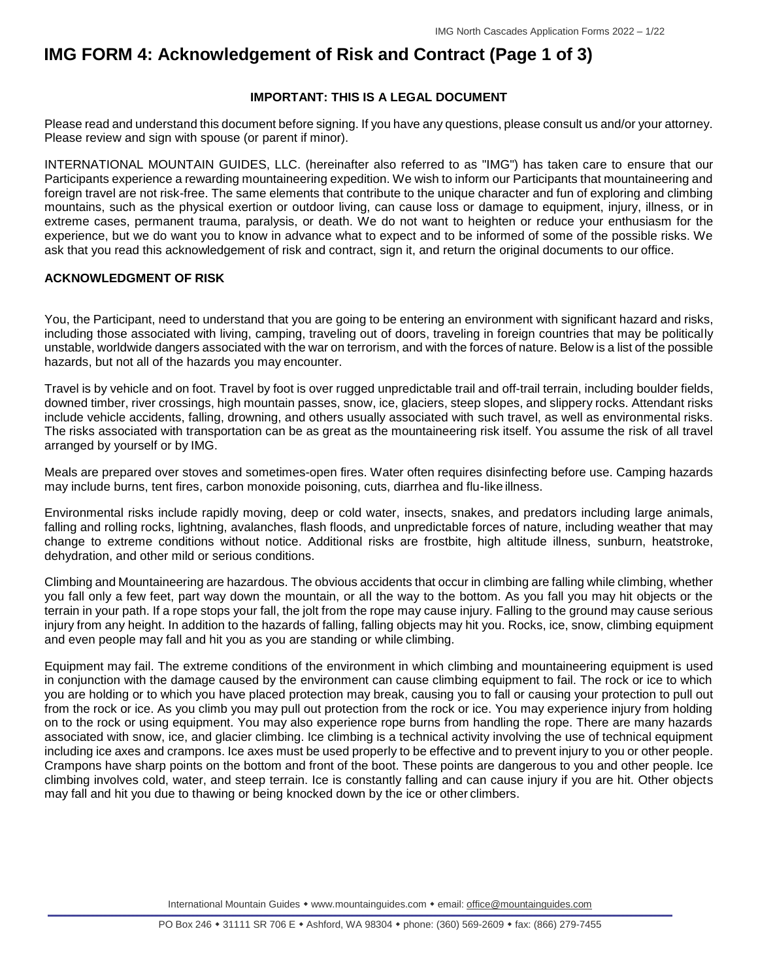# **IMG FORM 4: Acknowledgement of Risk and Contract (Page 1 of 3)**

### **IMPORTANT: THIS IS A LEGAL DOCUMENT**

Please read and understand this document before signing. If you have any questions, please consult us and/or your attorney. Please review and sign with spouse (or parent if minor).

INTERNATIONAL MOUNTAIN GUIDES, LLC. (hereinafter also referred to as "IMG") has taken care to ensure that our Participants experience a rewarding mountaineering expedition. We wish to inform our Participants that mountaineering and foreign travel are not risk-free. The same elements that contribute to the unique character and fun of exploring and climbing mountains, such as the physical exertion or outdoor living, can cause loss or damage to equipment, injury, illness, or in extreme cases, permanent trauma, paralysis, or death. We do not want to heighten or reduce your enthusiasm for the experience, but we do want you to know in advance what to expect and to be informed of some of the possible risks. We ask that you read this acknowledgement of risk and contract, sign it, and return the original documents to our office.

### **ACKNOWLEDGMENT OF RISK**

You, the Participant, need to understand that you are going to be entering an environment with significant hazard and risks, including those associated with living, camping, traveling out of doors, traveling in foreign countries that may be politically unstable, worldwide dangers associated with the war on terrorism, and with the forces of nature. Below is a list of the possible hazards, but not all of the hazards you may encounter.

Travel is by vehicle and on foot. Travel by foot is over rugged unpredictable trail and off-trail terrain, including boulder fields, downed timber, river crossings, high mountain passes, snow, ice, glaciers, steep slopes, and slippery rocks. Attendant risks include vehicle accidents, falling, drowning, and others usually associated with such travel, as well as environmental risks. The risks associated with transportation can be as great as the mountaineering risk itself. You assume the risk of all travel arranged by yourself or by IMG.

Meals are prepared over stoves and sometimes-open fires. Water often requires disinfecting before use. Camping hazards may include burns, tent fires, carbon monoxide poisoning, cuts, diarrhea and flu-like illness.

Environmental risks include rapidly moving, deep or cold water, insects, snakes, and predators including large animals, falling and rolling rocks, lightning, avalanches, flash floods, and unpredictable forces of nature, including weather that may change to extreme conditions without notice. Additional risks are frostbite, high altitude illness, sunburn, heatstroke, dehydration, and other mild or serious conditions.

Climbing and Mountaineering are hazardous. The obvious accidents that occur in climbing are falling while climbing, whether you fall only a few feet, part way down the mountain, or all the way to the bottom. As you fall you may hit objects or the terrain in your path. If a rope stops your fall, the jolt from the rope may cause injury. Falling to the ground may cause serious injury from any height. In addition to the hazards of falling, falling objects may hit you. Rocks, ice, snow, climbing equipment and even people may fall and hit you as you are standing or while climbing.

Equipment may fail. The extreme conditions of the environment in which climbing and mountaineering equipment is used in conjunction with the damage caused by the environment can cause climbing equipment to fail. The rock or ice to which you are holding or to which you have placed protection may break, causing you to fall or causing your protection to pull out from the rock or ice. As you climb you may pull out protection from the rock or ice. You may experience injury from holding on to the rock or using equipment. You may also experience rope burns from handling the rope. There are many hazards associated with snow, ice, and glacier climbing. Ice climbing is a technical activity involving the use of technical equipment including ice axes and crampons. Ice axes must be used properly to be effective and to prevent injury to you or other people. Crampons have sharp points on the bottom and front of the boot. These points are dangerous to you and other people. Ice climbing involves cold, water, and steep terrain. Ice is constantly falling and can cause injury if you are hit. Other objects may fall and hit you due to thawing or being knocked down by the ice or other climbers.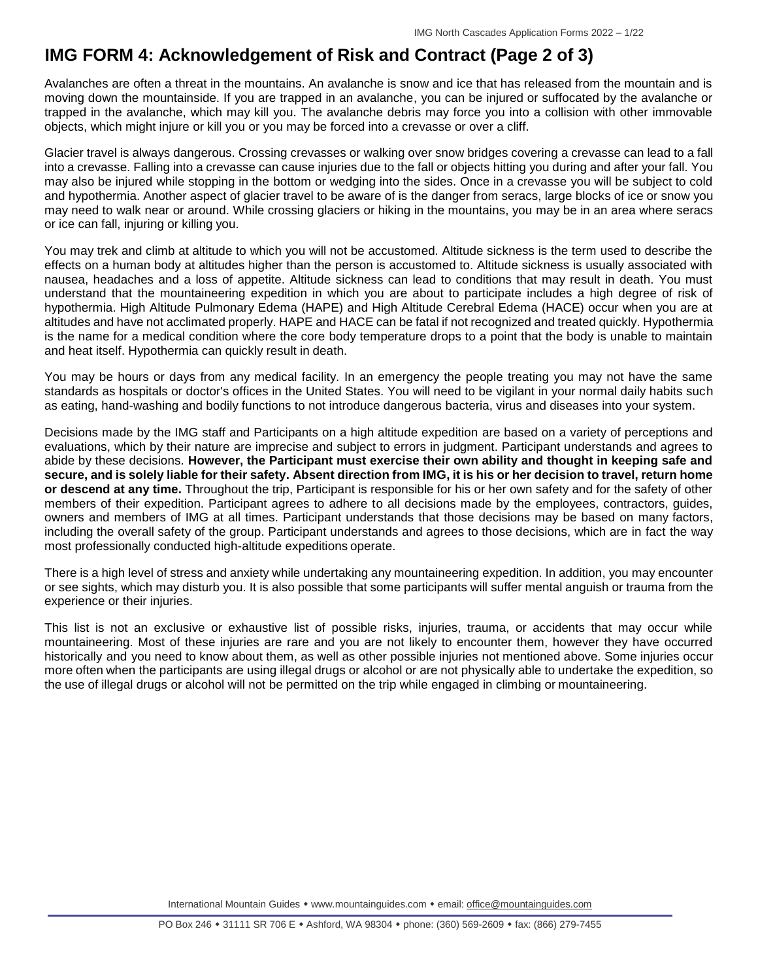# **IMG FORM 4: Acknowledgement of Risk and Contract (Page 2 of 3)**

Avalanches are often a threat in the mountains. An avalanche is snow and ice that has released from the mountain and is moving down the mountainside. If you are trapped in an avalanche, you can be injured or suffocated by the avalanche or trapped in the avalanche, which may kill you. The avalanche debris may force you into a collision with other immovable objects, which might injure or kill you or you may be forced into a crevasse or over a cliff.

Glacier travel is always dangerous. Crossing crevasses or walking over snow bridges covering a crevasse can lead to a fall into a crevasse. Falling into a crevasse can cause injuries due to the fall or objects hitting you during and after your fall. You may also be injured while stopping in the bottom or wedging into the sides. Once in a crevasse you will be subject to cold and hypothermia. Another aspect of glacier travel to be aware of is the danger from seracs, large blocks of ice or snow you may need to walk near or around. While crossing glaciers or hiking in the mountains, you may be in an area where seracs or ice can fall, injuring or killing you.

You may trek and climb at altitude to which you will not be accustomed. Altitude sickness is the term used to describe the effects on a human body at altitudes higher than the person is accustomed to. Altitude sickness is usually associated with nausea, headaches and a loss of appetite. Altitude sickness can lead to conditions that may result in death. You must understand that the mountaineering expedition in which you are about to participate includes a high degree of risk of hypothermia. High Altitude Pulmonary Edema (HAPE) and High Altitude Cerebral Edema (HACE) occur when you are at altitudes and have not acclimated properly. HAPE and HACE can be fatal if not recognized and treated quickly. Hypothermia is the name for a medical condition where the core body temperature drops to a point that the body is unable to maintain and heat itself. Hypothermia can quickly result in death.

You may be hours or days from any medical facility. In an emergency the people treating you may not have the same standards as hospitals or doctor's offices in the United States. You will need to be vigilant in your normal daily habits such as eating, hand-washing and bodily functions to not introduce dangerous bacteria, virus and diseases into your system.

Decisions made by the IMG staff and Participants on a high altitude expedition are based on a variety of perceptions and evaluations, which by their nature are imprecise and subject to errors in judgment. Participant understands and agrees to abide by these decisions. **However, the Participant must exercise their own ability and thought in keeping safe and secure, and is solely liable for their safety. Absent direction from IMG, it is his or her decision to travel, return home or descend at any time.** Throughout the trip, Participant is responsible for his or her own safety and for the safety of other members of their expedition. Participant agrees to adhere to all decisions made by the employees, contractors, guides, owners and members of IMG at all times. Participant understands that those decisions may be based on many factors, including the overall safety of the group. Participant understands and agrees to those decisions, which are in fact the way most professionally conducted high-altitude expeditions operate.

There is a high level of stress and anxiety while undertaking any mountaineering expedition. In addition, you may encounter or see sights, which may disturb you. It is also possible that some participants will suffer mental anguish or trauma from the experience or their injuries.

This list is not an exclusive or exhaustive list of possible risks, injuries, trauma, or accidents that may occur while mountaineering. Most of these injuries are rare and you are not likely to encounter them, however they have occurred historically and you need to know about them, as well as other possible injuries not mentioned above. Some injuries occur more often when the participants are using illegal drugs or alcohol or are not physically able to undertake the expedition, so the use of illegal drugs or alcohol will not be permitted on the trip while engaged in climbing or mountaineering.